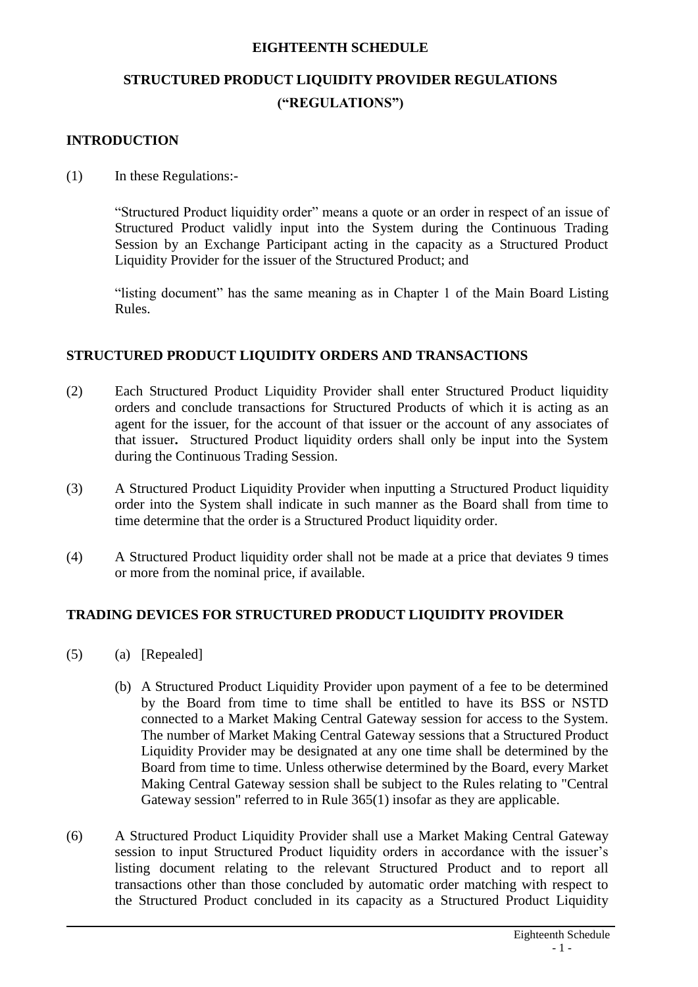#### **EIGHTEENTH SCHEDULE**

# **STRUCTURED PRODUCT LIQUIDITY PROVIDER REGULATIONS ("REGULATIONS")**

## **INTRODUCTION**

#### (1) In these Regulations:-

"Structured Product liquidity order" means a quote or an order in respect of an issue of Structured Product validly input into the System during the Continuous Trading Session by an Exchange Participant acting in the capacity as a Structured Product Liquidity Provider for the issuer of the Structured Product; and

"listing document" has the same meaning as in Chapter 1 of the Main Board Listing Rules.

### **STRUCTURED PRODUCT LIQUIDITY ORDERS AND TRANSACTIONS**

- (2) Each Structured Product Liquidity Provider shall enter Structured Product liquidity orders and conclude transactions for Structured Products of which it is acting as an agent for the issuer, for the account of that issuer or the account of any associates of that issuer**.** Structured Product liquidity orders shall only be input into the System during the Continuous Trading Session.
- (3) A Structured Product Liquidity Provider when inputting a Structured Product liquidity order into the System shall indicate in such manner as the Board shall from time to time determine that the order is a Structured Product liquidity order.
- (4) A Structured Product liquidity order shall not be made at a price that deviates 9 times or more from the nominal price, if available.

### **TRADING DEVICES FOR STRUCTURED PRODUCT LIQUIDITY PROVIDER**

- (5) (a) [Repealed]
	- (b) A Structured Product Liquidity Provider upon payment of a fee to be determined by the Board from time to time shall be entitled to have its BSS or NSTD connected to a Market Making Central Gateway session for access to the System. The number of Market Making Central Gateway sessions that a Structured Product Liquidity Provider may be designated at any one time shall be determined by the Board from time to time. Unless otherwise determined by the Board, every Market Making Central Gateway session shall be subject to the Rules relating to "Central Gateway session" referred to in Rule 365(1) insofar as they are applicable.
- (6) A Structured Product Liquidity Provider shall use a Market Making Central Gateway session to input Structured Product liquidity orders in accordance with the issuer's listing document relating to the relevant Structured Product and to report all transactions other than those concluded by automatic order matching with respect to the Structured Product concluded in its capacity as a Structured Product Liquidity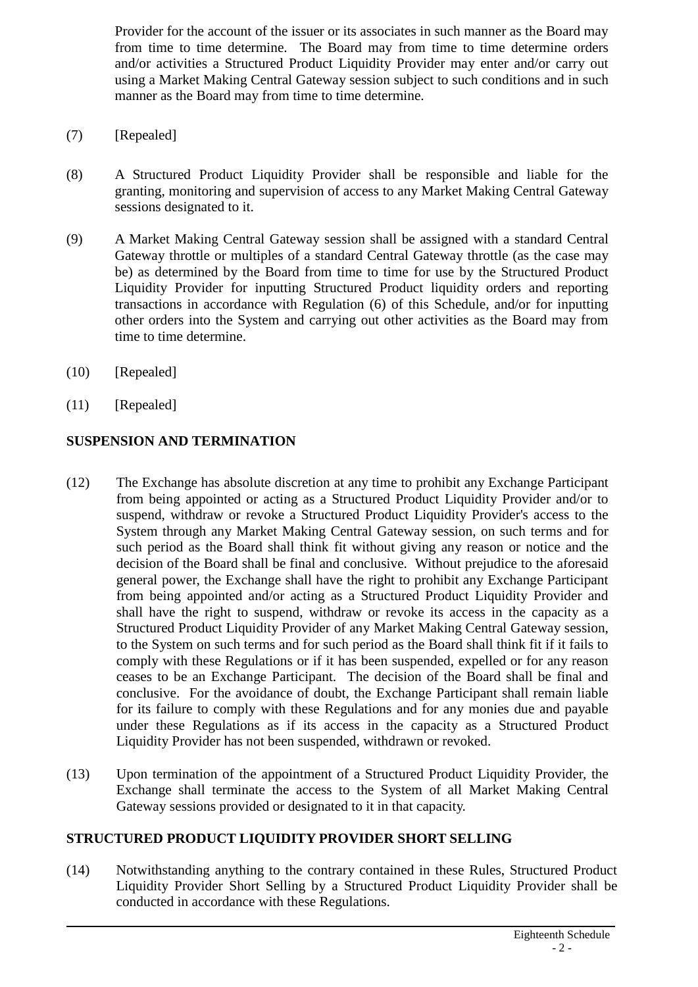Provider for the account of the issuer or its associates in such manner as the Board may from time to time determine. The Board may from time to time determine orders and/or activities a Structured Product Liquidity Provider may enter and/or carry out using a Market Making Central Gateway session subject to such conditions and in such manner as the Board may from time to time determine.

- (7) [Repealed]
- (8) A Structured Product Liquidity Provider shall be responsible and liable for the granting, monitoring and supervision of access to any Market Making Central Gateway sessions designated to it.
- (9) A Market Making Central Gateway session shall be assigned with a standard Central Gateway throttle or multiples of a standard Central Gateway throttle (as the case may be) as determined by the Board from time to time for use by the Structured Product Liquidity Provider for inputting Structured Product liquidity orders and reporting transactions in accordance with Regulation (6) of this Schedule, and/or for inputting other orders into the System and carrying out other activities as the Board may from time to time determine.
- (10) [Repealed]
- $(11)$  [Repealed]

# **SUSPENSION AND TERMINATION**

- (12) The Exchange has absolute discretion at any time to prohibit any Exchange Participant from being appointed or acting as a Structured Product Liquidity Provider and/or to suspend, withdraw or revoke a Structured Product Liquidity Provider's access to the System through any Market Making Central Gateway session, on such terms and for such period as the Board shall think fit without giving any reason or notice and the decision of the Board shall be final and conclusive. Without prejudice to the aforesaid general power, the Exchange shall have the right to prohibit any Exchange Participant from being appointed and/or acting as a Structured Product Liquidity Provider and shall have the right to suspend, withdraw or revoke its access in the capacity as a Structured Product Liquidity Provider of any Market Making Central Gateway session, to the System on such terms and for such period as the Board shall think fit if it fails to comply with these Regulations or if it has been suspended, expelled or for any reason ceases to be an Exchange Participant. The decision of the Board shall be final and conclusive. For the avoidance of doubt, the Exchange Participant shall remain liable for its failure to comply with these Regulations and for any monies due and payable under these Regulations as if its access in the capacity as a Structured Product Liquidity Provider has not been suspended, withdrawn or revoked.
- (13) Upon termination of the appointment of a Structured Product Liquidity Provider, the Exchange shall terminate the access to the System of all Market Making Central Gateway sessions provided or designated to it in that capacity.

### **STRUCTURED PRODUCT LIQUIDITY PROVIDER SHORT SELLING**

(14) Notwithstanding anything to the contrary contained in these Rules, Structured Product Liquidity Provider Short Selling by a Structured Product Liquidity Provider shall be conducted in accordance with these Regulations.